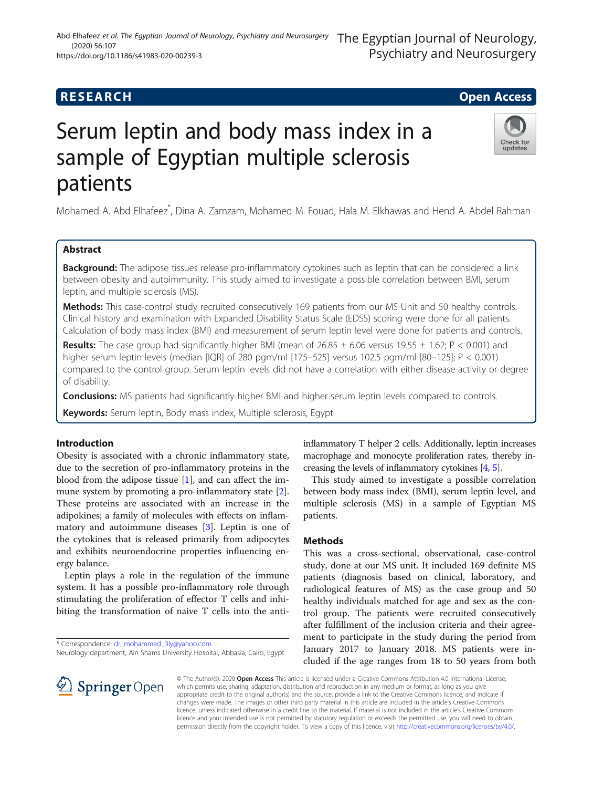# **RESEARCH CHILD CONTROL** CONTROL CONTROL CONTROL CONTROL CONTROL CONTROL CONTROL CONTROL CONTROL CONTROL CONTROL

# Serum leptin and body mass index in a sample of Egyptian multiple sclerosis patients

Mohamed A. Abd Elhafeez\* , Dina A. Zamzam, Mohamed M. Fouad, Hala M. Elkhawas and Hend A. Abdel Rahman

# Abstract

**Background:** The adipose tissues release pro-inflammatory cytokines such as leptin that can be considered a link between obesity and autoimmunity. This study aimed to investigate a possible correlation between BMI, serum leptin, and multiple sclerosis (MS).

Methods: This case-control study recruited consecutively 169 patients from our MS Unit and 50 healthy controls. Clinical history and examination with Expanded Disability Status Scale (EDSS) scoring were done for all patients. Calculation of body mass index (BMI) and measurement of serum leptin level were done for patients and controls.

**Results:** The case group had significantly higher BMI (mean of  $26.85 \pm 6.06$  versus  $19.55 \pm 1.62$ ; P < 0.001) and higher serum leptin levels (median [IQR] of 280 pgm/ml [175–525] versus 102.5 pgm/ml [80–125]; P < 0.001) compared to the control group. Serum leptin levels did not have a correlation with either disease activity or degree of disability.

Conclusions: MS patients had significantly higher BMI and higher serum leptin levels compared to controls.

Keywords: Serum leptin, Body mass index, Multiple sclerosis, Egypt

# Introduction

Obesity is associated with a chronic inflammatory state, due to the secretion of pro-inflammatory proteins in the blood from the adipose tissue [[1](#page-4-0)], and can affect the im-mune system by promoting a pro-inflammatory state [\[2](#page-4-0)]. These proteins are associated with an increase in the adipokines; a family of molecules with effects on inflammatory and autoimmune diseases [\[3](#page-4-0)]. Leptin is one of the cytokines that is released primarily from adipocytes and exhibits neuroendocrine properties influencing energy balance.

Leptin plays a role in the regulation of the immune system. It has a possible pro-inflammatory role through stimulating the proliferation of effector T cells and inhibiting the transformation of naive T cells into the anti-

\* Correspondence: [dr\\_mohammed\\_3ly@yahoo.com](mailto:dr_mohammed_3ly@yahoo.com)

inflammatory T helper 2 cells. Additionally, leptin increases macrophage and monocyte proliferation rates, thereby increasing the levels of inflammatory cytokines [\[4](#page-4-0), [5](#page-4-0)].

This study aimed to investigate a possible correlation between body mass index (BMI), serum leptin level, and multiple sclerosis (MS) in a sample of Egyptian MS patients.

# **Methods**

This was a cross-sectional, observational, case-control study, done at our MS unit. It included 169 definite MS patients (diagnosis based on clinical, laboratory, and radiological features of MS) as the case group and 50 healthy individuals matched for age and sex as the control group. The patients were recruited consecutively after fulfillment of the inclusion criteria and their agreement to participate in the study during the period from January 2017 to January 2018. MS patients were included if the age ranges from 18 to 50 years from both

© The Author(s). 2020 Open Access This article is licensed under a Creative Commons Attribution 4.0 International License, which permits use, sharing, adaptation, distribution and reproduction in any medium or format, as long as you give appropriate credit to the original author(s) and the source, provide a link to the Creative Commons licence, and indicate if changes were made. The images or other third party material in this article are included in the article's Creative Commons licence, unless indicated otherwise in a credit line to the material. If material is not included in the article's Creative Commons licence and your intended use is not permitted by statutory regulation or exceeds the permitted use, you will need to obtain permission directly from the copyright holder. To view a copy of this licence, visit <http://creativecommons.org/licenses/by/4.0/>.





The Egyptian Journal of Neurology,



Neurology department, Ain Shams University Hospital, Abbasia, Cairo, Egypt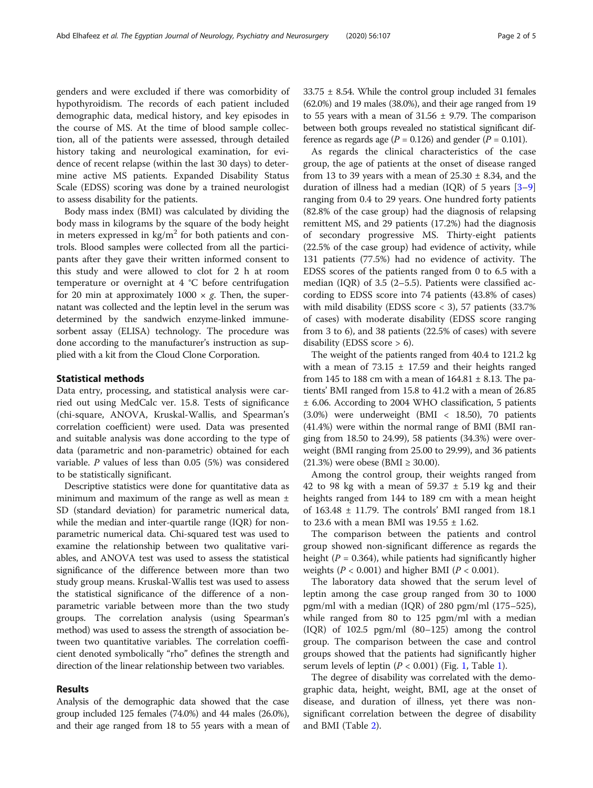genders and were excluded if there was comorbidity of hypothyroidism. The records of each patient included demographic data, medical history, and key episodes in the course of MS. At the time of blood sample collection, all of the patients were assessed, through detailed history taking and neurological examination, for evidence of recent relapse (within the last 30 days) to determine active MS patients. Expanded Disability Status Scale (EDSS) scoring was done by a trained neurologist to assess disability for the patients.

Body mass index (BMI) was calculated by dividing the body mass in kilograms by the square of the body height in meters expressed in  $\text{kg/m}^2$  for both patients and controls. Blood samples were collected from all the participants after they gave their written informed consent to this study and were allowed to clot for 2 h at room temperature or overnight at 4 °C before centrifugation for 20 min at approximately  $1000 \times g$ . Then, the supernatant was collected and the leptin level in the serum was determined by the sandwich enzyme-linked immunesorbent assay (ELISA) technology. The procedure was done according to the manufacturer's instruction as supplied with a kit from the Cloud Clone Corporation.

#### Statistical methods

Data entry, processing, and statistical analysis were carried out using MedCalc ver. 15.8. Tests of significance (chi-square, ANOVA, Kruskal-Wallis, and Spearman's correlation coefficient) were used. Data was presented and suitable analysis was done according to the type of data (parametric and non-parametric) obtained for each variable. P values of less than 0.05 (5%) was considered to be statistically significant.

Descriptive statistics were done for quantitative data as minimum and maximum of the range as well as mean ± SD (standard deviation) for parametric numerical data, while the median and inter-quartile range (IQR) for nonparametric numerical data. Chi-squared test was used to examine the relationship between two qualitative variables, and ANOVA test was used to assess the statistical significance of the difference between more than two study group means. Kruskal-Wallis test was used to assess the statistical significance of the difference of a nonparametric variable between more than the two study groups. The correlation analysis (using Spearman's method) was used to assess the strength of association between two quantitative variables. The correlation coefficient denoted symbolically "rho" defines the strength and direction of the linear relationship between two variables.

# Results

Analysis of the demographic data showed that the case group included 125 females (74.0%) and 44 males (26.0%), and their age ranged from 18 to 55 years with a mean of 33.75 ± 8.54. While the control group included 31 females (62.0%) and 19 males (38.0%), and their age ranged from 19 to 55 years with a mean of  $31.56 \pm 9.79$ . The comparison between both groups revealed no statistical significant difference as regards age ( $P = 0.126$ ) and gender ( $P = 0.101$ ).

As regards the clinical characteristics of the case group, the age of patients at the onset of disease ranged from 13 to 39 years with a mean of  $25.30 \pm 8.34$ , and the duration of illness had a median (IQR) of 5 years  $[3-9]$  $[3-9]$  $[3-9]$  $[3-9]$  $[3-9]$ ranging from 0.4 to 29 years. One hundred forty patients (82.8% of the case group) had the diagnosis of relapsing remittent MS, and 29 patients (17.2%) had the diagnosis of secondary progressive MS. Thirty-eight patients (22.5% of the case group) had evidence of activity, while 131 patients (77.5%) had no evidence of activity. The EDSS scores of the patients ranged from 0 to 6.5 with a median (IQR) of 3.5 (2–5.5). Patients were classified according to EDSS score into 74 patients (43.8% of cases) with mild disability (EDSS score  $<$  3), 57 patients (33.7%) of cases) with moderate disability (EDSS score ranging from 3 to 6), and 38 patients (22.5% of cases) with severe disability (EDSS score > 6).

The weight of the patients ranged from 40.4 to 121.2 kg with a mean of  $73.15 \pm 17.59$  and their heights ranged from 145 to 188 cm with a mean of  $164.81 \pm 8.13$ . The patients' BMI ranged from 15.8 to 41.2 with a mean of 26.85 ± 6.06. According to 2004 WHO classification, 5 patients (3.0%) were underweight (BMI < 18.50), 70 patients (41.4%) were within the normal range of BMI (BMI ranging from 18.50 to 24.99), 58 patients (34.3%) were overweight (BMI ranging from 25.00 to 29.99), and 36 patients (21.3%) were obese (BMI  $\geq$  30.00).

Among the control group, their weights ranged from 42 to 98 kg with a mean of  $59.37 \pm 5.19$  kg and their heights ranged from 144 to 189 cm with a mean height of  $163.48 \pm 11.79$ . The controls' BMI ranged from 18.1 to 23.6 with a mean BMI was  $19.55 \pm 1.62$ .

The comparison between the patients and control group showed non-significant difference as regards the height ( $P = 0.364$ ), while patients had significantly higher weights ( $P < 0.001$ ) and higher BMI ( $P < 0.001$ ).

The laboratory data showed that the serum level of leptin among the case group ranged from 30 to 1000 pgm/ml with a median (IQR) of 280 pgm/ml (175–525), while ranged from 80 to 125 pgm/ml with a median (IQR) of 102.5 pgm/ml (80–125) among the control group. The comparison between the case and control groups showed that the patients had significantly higher serum levels of leptin  $(P < 0.001)$  $(P < 0.001)$  (Fig. [1,](#page-2-0) Table 1).

The degree of disability was correlated with the demographic data, height, weight, BMI, age at the onset of disease, and duration of illness, yet there was nonsignificant correlation between the degree of disability and BMI (Table [2\)](#page-3-0).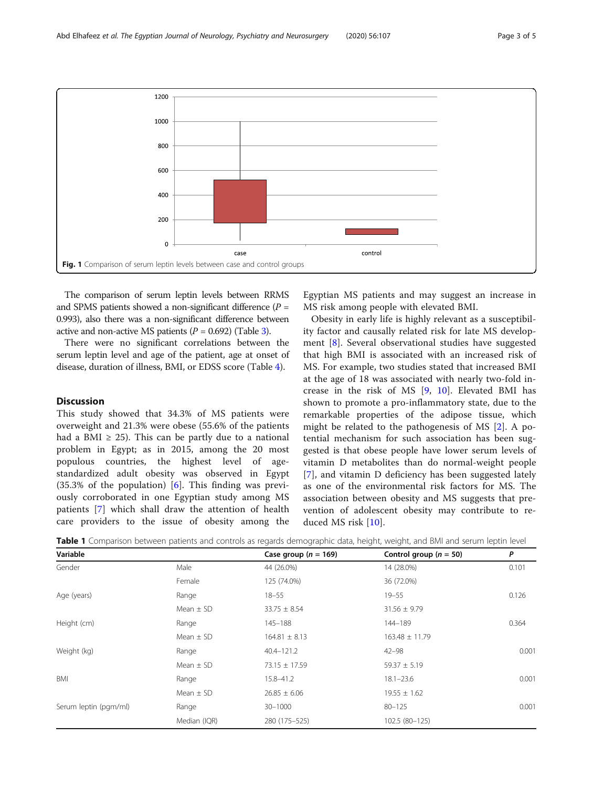<span id="page-2-0"></span>

The comparison of serum leptin levels between RRMS and SPMS patients showed a non-significant difference  $(P =$ 0.993), also there was a non-significant difference between active and non-active MS patients  $(P = 0.692)$  (Table [3](#page-3-0)).

There were no significant correlations between the serum leptin level and age of the patient, age at onset of disease, duration of illness, BMI, or EDSS score (Table [4](#page-3-0)).

# **Discussion**

This study showed that 34.3% of MS patients were overweight and 21.3% were obese (55.6% of the patients had a BMI  $\geq$  25). This can be partly due to a national problem in Egypt; as in 2015, among the 20 most populous countries, the highest level of agestandardized adult obesity was observed in Egypt  $(35.3\% \text{ of the population})$  [[6\]](#page-4-0). This finding was previously corroborated in one Egyptian study among MS patients [[7\]](#page-4-0) which shall draw the attention of health care providers to the issue of obesity among the

Egyptian MS patients and may suggest an increase in MS risk among people with elevated BMI.

Obesity in early life is highly relevant as a susceptibility factor and causally related risk for late MS development [[8\]](#page-4-0). Several observational studies have suggested that high BMI is associated with an increased risk of MS. For example, two studies stated that increased BMI at the age of 18 was associated with nearly two-fold increase in the risk of MS [\[9](#page-4-0), [10](#page-4-0)]. Elevated BMI has shown to promote a pro-inflammatory state, due to the remarkable properties of the adipose tissue, which might be related to the pathogenesis of MS [\[2](#page-4-0)]. A potential mechanism for such association has been suggested is that obese people have lower serum levels of vitamin D metabolites than do normal-weight people [[7](#page-4-0)], and vitamin D deficiency has been suggested lately as one of the environmental risk factors for MS. The association between obesity and MS suggests that prevention of adolescent obesity may contribute to reduced MS risk [\[10](#page-4-0)].

| Table 1 Comparison between patients and controls as regards demographic data, height, weight, and BMI and serum leptin level |  |  |  |  |  |  |
|------------------------------------------------------------------------------------------------------------------------------|--|--|--|--|--|--|
|                                                                                                                              |  |  |  |  |  |  |

| Variable              |               | Case group ( $n = 169$ ) | Control group ( $n = 50$ ) | P     |
|-----------------------|---------------|--------------------------|----------------------------|-------|
| Gender                | Male          | 44 (26.0%)               | 14 (28.0%)                 | 0.101 |
|                       | Female        | 125 (74.0%)              | 36 (72.0%)                 |       |
| Age (years)           | Range         | $18 - 55$                | $19 - 55$                  | 0.126 |
|                       | Mean $\pm$ SD | $33.75 \pm 8.54$         | $31.56 \pm 9.79$           |       |
| Height (cm)           | Range         | 145-188                  | 144-189                    | 0.364 |
|                       | Mean $\pm$ SD | $164.81 \pm 8.13$        | $163.48 \pm 11.79$         |       |
| Weight (kg)           | Range         | $40.4 - 121.2$           | $42 - 98$                  | 0.001 |
|                       | Mean $\pm$ SD | 73.15 ± 17.59            | $59.37 \pm 5.19$           |       |
| BMI                   | Range         | 15.8-41.2                | $18.1 - 23.6$              | 0.001 |
|                       | Mean $\pm$ SD | $26.85 \pm 6.06$         | $19.55 \pm 1.62$           |       |
| Serum leptin (pgm/ml) | Range         | $30 - 1000$              | $80 - 125$                 | 0.001 |
|                       | Median (IQR)  | 280 (175 - 525)          | 102.5 (80-125)             |       |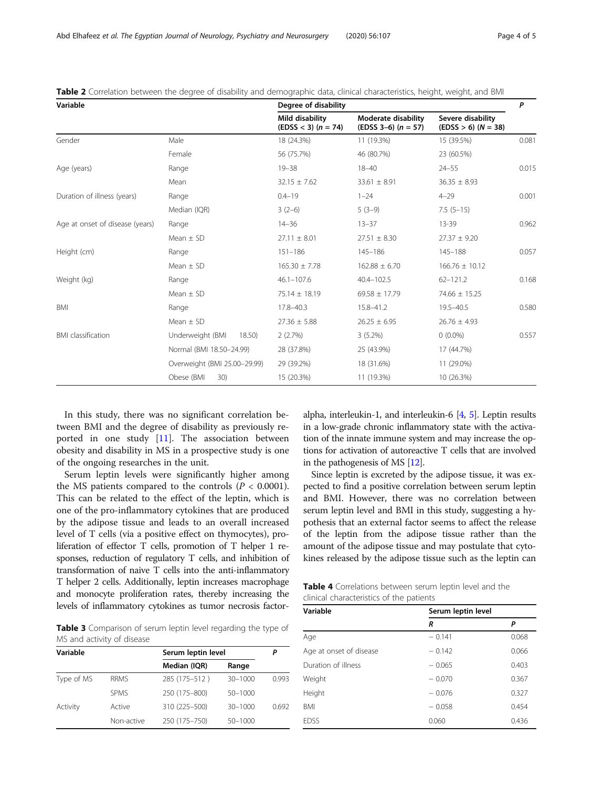| Variable                        |                              | Degree of disability                       |                                                       |                                            |       |
|---------------------------------|------------------------------|--------------------------------------------|-------------------------------------------------------|--------------------------------------------|-------|
|                                 |                              | Mild disability<br>$(EDSS < 3)$ $(n = 74)$ | <b>Moderate disability</b><br>$(EDSS 3-6)$ $(n = 57)$ | Severe disability<br>$(EDSS > 6) (N = 38)$ |       |
| Gender                          | Male                         | 18 (24.3%)                                 | 11 (19.3%)                                            | 15 (39.5%)                                 | 0.081 |
|                                 | Female                       | 56 (75.7%)                                 | 46 (80.7%)                                            | 23 (60.5%)                                 |       |
| Age (years)                     | Range                        | $19 - 38$                                  | $18 - 40$                                             | $24 - 55$                                  | 0.015 |
|                                 | Mean                         | $32.15 \pm 7.62$                           | $33.61 \pm 8.91$                                      | $36.35 \pm 8.93$                           |       |
| Duration of illness (years)     | Range                        | $0.4 - 19$                                 | $1 - 24$                                              | $4 - 29$                                   | 0.001 |
|                                 | Median (IQR)                 | $3(2-6)$                                   | $5(3-9)$                                              | $7.5(5-15)$                                |       |
| Age at onset of disease (years) | Range                        | $14 - 36$                                  | $13 - 37$                                             | 13-39                                      | 0.962 |
|                                 | Mean $\pm$ SD                | $27.11 \pm 8.01$                           | $27.51 \pm 8.30$                                      | $27.37 \pm 9.20$                           |       |
| Height (cm)                     | Range                        | $151 - 186$                                | $145 - 186$                                           | $145 - 188$                                | 0.057 |
|                                 | Mean $\pm$ SD                | $165.30 \pm 7.78$                          | $162.88 \pm 6.70$                                     | $166.76 \pm 10.12$                         |       |
| Weight (kg)                     | Range                        | $46.1 - 107.6$                             | $40.4 - 102.5$                                        | $62 - 121.2$                               | 0.168 |
|                                 | Mean $\pm$ SD                | $75.14 \pm 18.19$                          | $69.58 \pm 17.79$                                     | 74.66 ± 15.25                              |       |
| BMI                             | Range                        | $17.8 - 40.3$                              | 15.8-41.2                                             | $19.5 - 40.5$                              | 0.580 |
|                                 | Mean $\pm$ SD                | $27.36 \pm 5.88$                           | $26.25 \pm 6.95$                                      | $26.76 \pm 4.93$                           |       |
| <b>BMI</b> classification       | Underweight (BMI<br>18.50    | 2(2.7%)                                    | $3(5.2\%)$                                            | $0(0.0\%)$                                 | 0.557 |
|                                 | Normal (BMI 18.50-24.99)     | 28 (37.8%)                                 | 25 (43.9%)                                            | 17 (44.7%)                                 |       |
|                                 | Overweight (BMI 25.00-29.99) | 29 (39.2%)                                 | 18 (31.6%)                                            | 11 (29.0%)                                 |       |
|                                 | Obese (BMI<br>30)            | 15 (20.3%)                                 | 11 (19.3%)                                            | 10 (26.3%)                                 |       |

<span id="page-3-0"></span>Table 2 Correlation between the degree of disability and demographic data, clinical characteristics, height, weight, and BMI

In this study, there was no significant correlation between BMI and the degree of disability as previously reported in one study  $[11]$  $[11]$  $[11]$ . The association between obesity and disability in MS in a prospective study is one of the ongoing researches in the unit.

Serum leptin levels were significantly higher among the MS patients compared to the controls ( $P < 0.0001$ ). This can be related to the effect of the leptin, which is one of the pro-inflammatory cytokines that are produced by the adipose tissue and leads to an overall increased level of T cells (via a positive effect on thymocytes), proliferation of effector T cells, promotion of T helper 1 responses, reduction of regulatory T cells, and inhibition of transformation of naive T cells into the anti-inflammatory T helper 2 cells. Additionally, leptin increases macrophage and monocyte proliferation rates, thereby increasing the levels of inflammatory cytokines as tumor necrosis factor-

Table 3 Comparison of serum leptin level regarding the type of MS and activity of disease

| Variable   |             | Serum leptin level | P           |       |
|------------|-------------|--------------------|-------------|-------|
|            |             | Median (IQR)       | Range       |       |
| Type of MS | <b>RRMS</b> | 285 (175-512)      | $30 - 1000$ | 0.993 |
|            | <b>SPMS</b> | 250 (175-800)      | $50 - 1000$ |       |
| Activity   | Active      | 310 (225-500)      | $30 - 1000$ | 0.692 |
|            | Non-active  | 250 (175-750)      | 50-1000     |       |

alpha, interleukin-1, and interleukin-6 [\[4](#page-4-0), [5](#page-4-0)]. Leptin results in a low-grade chronic inflammatory state with the activation of the innate immune system and may increase the options for activation of autoreactive T cells that are involved in the pathogenesis of MS [\[12\]](#page-4-0).

Since leptin is excreted by the adipose tissue, it was expected to find a positive correlation between serum leptin and BMI. However, there was no correlation between serum leptin level and BMI in this study, suggesting a hypothesis that an external factor seems to affect the release of the leptin from the adipose tissue rather than the amount of the adipose tissue and may postulate that cytokines released by the adipose tissue such as the leptin can

Table 4 Correlations between serum leptin level and the clinical characteristics of the patients

| Variable                | Serum leptin level |       |
|-------------------------|--------------------|-------|
|                         | R                  | P     |
| Age                     | $-0.141$           | 0.068 |
| Age at onset of disease | $-0.142$           | 0.066 |
| Duration of illness     | $-0.065$           | 0.403 |
| Weight                  | $-0.070$           | 0.367 |
| Height                  | $-0.076$           | 0.327 |
| <b>BMI</b>              | $-0.058$           | 0.454 |
| <b>EDSS</b>             | 0.060              | 0.436 |
|                         |                    |       |